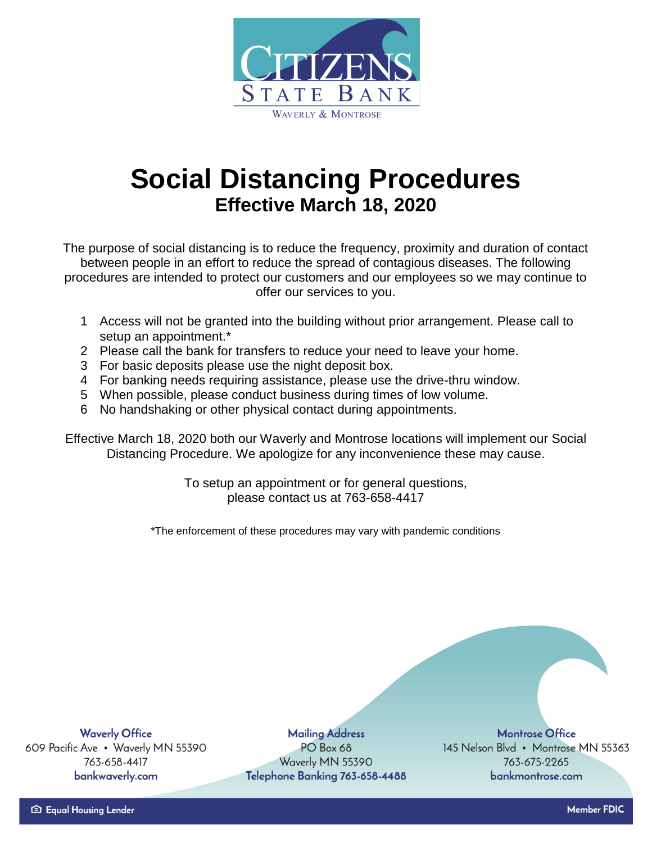

## **Social Distancing Procedures Effective March 18, 2020**

The purpose of social distancing is to reduce the frequency, proximity and duration of contact between people in an effort to reduce the spread of contagious diseases. The following procedures are intended to protect our customers and our employees so we may continue to offer our services to you.

- 1 Access will not be granted into the building without prior arrangement. Please call to setup an appointment.\*
- 2 Please call the bank for transfers to reduce your need to leave your home.
- 3 For basic deposits please use the night deposit box.
- 4 For banking needs requiring assistance, please use the drive-thru window.
- 5 When possible, please conduct business during times of low volume.
- 6 No handshaking or other physical contact during appointments.

Effective March 18, 2020 both our Waverly and Montrose locations will implement our Social Distancing Procedure. We apologize for any inconvenience these may cause.

> To setup an appointment or for general questions, please contact us at 763-658-4417

\*The enforcement of these procedures may vary with pandemic conditions

**Waverly Office** 609 Pacific Ave . Waverly MN 55390 763-658-4417 bankwaverly.com

**Mailing Address** PO Box 68 Waverly MN 55390 Telephone Banking 763-658-4488

**Montrose Office** 145 Nelson Blvd • Montrose MN 55363 763-675-2265 bankmontrose.com

**Member FDIC**